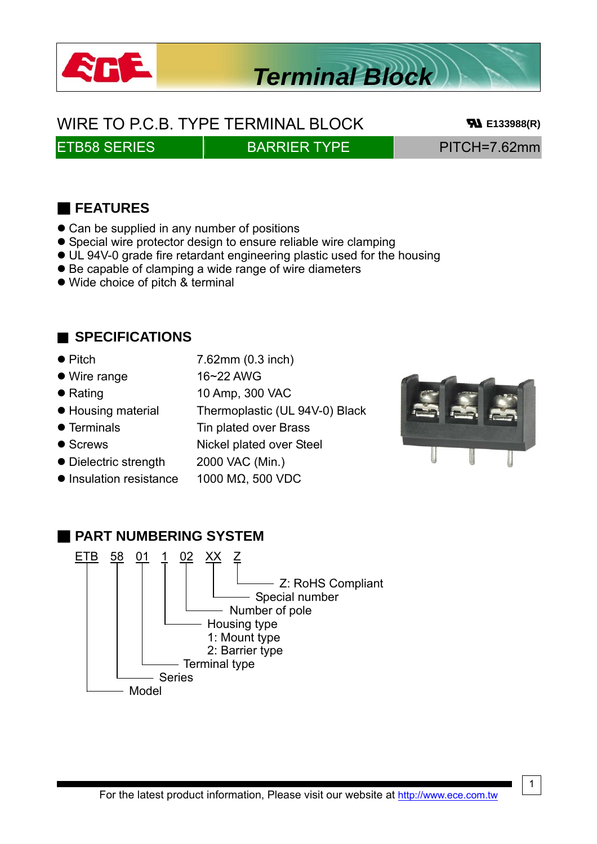

# *Terminal Block*

WIRE TO P.C.B. TYPE TERMINAL BLOCK **BLOCK E133988(R)** 

## ETB58 SERIES BARRIER TYPE PITCH=7.62mm

## ■ **FEATURES**

- Can be supplied in any number of positions
- **•** Special wire protector design to ensure reliable wire clamping
- UL 94V-0 grade fire retardant engineering plastic used for the housing
- $\bullet$  Be capable of clamping a wide range of wire diameters
- Wide choice of pitch & terminal

### ■ **SPECIFICATIONS**

- $\bullet$  Pitch  $\bullet$  7.62mm (0.3 inch)
- Wire range 16~22 AWG
- Rating 10 Amp, 300 VAC
- Housing material Thermoplastic (UL 94V-0) Black
- Terminals Tin plated over Brass
- 
- Dielectric strength 2000 VAC (Min.)
- 



- Screws Nickel plated over Steel
	-
- $\bullet$  Insulation resistance 1000 MΩ, 500 VDC



#### ■ **PART NUMBERING SYSTEM** ETB 58 01 1 02 XX Z - Z: RoHS Compliant Special number Number of pole Housing type 1: Mount type 2: Barrier type Terminal type Series Model